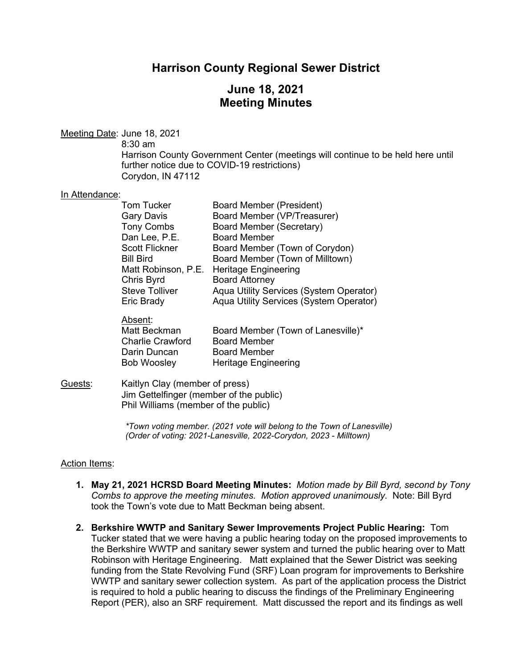# **Harrison County Regional Sewer District**

# **June 18, 2021 Meeting Minutes**

Meeting Date: June 18, 2021

8:30 am

Absent:

Harrison County Government Center (meetings will continue to be held here until further notice due to COVID-19 restrictions) Corydon, IN 47112

#### In Attendance:

| <b>Tom Tucker</b>     | <b>Board Member (President)</b>         |
|-----------------------|-----------------------------------------|
| <b>Gary Davis</b>     | Board Member (VP/Treasurer)             |
| <b>Tony Combs</b>     | <b>Board Member (Secretary)</b>         |
| Dan Lee, P.E.         | <b>Board Member</b>                     |
| <b>Scott Flickner</b> | Board Member (Town of Corydon)          |
| <b>Bill Bird</b>      | Board Member (Town of Milltown)         |
| Matt Robinson, P.E.   | <b>Heritage Engineering</b>             |
| Chris Byrd            | <b>Board Attorney</b>                   |
| <b>Steve Tolliver</b> | Aqua Utility Services (System Operator) |
| Eric Brady            | Aqua Utility Services (System Operator) |
|                       |                                         |

| Board Member (Town of Lanesville)* |
|------------------------------------|
| <b>Board Member</b>                |
| Board Member                       |
| <b>Heritage Engineering</b>        |
|                                    |

Guests: Kaitlyn Clay (member of press) Jim Gettelfinger (member of the public) Phil Williams (member of the public)

> *\*Town voting member. (2021 vote will belong to the Town of Lanesville) (Order of voting: 2021-Lanesville, 2022-Corydon, 2023 - Milltown)*

#### Action Items:

- **1. May 21, 2021 HCRSD Board Meeting Minutes:** *Motion made by Bill Byrd, second by Tony Combs to approve the meeting minutes. Motion approved unanimously.* Note: Bill Byrd took the Town's vote due to Matt Beckman being absent.
- **2. Berkshire WWTP and Sanitary Sewer Improvements Project Public Hearing:** Tom Tucker stated that we were having a public hearing today on the proposed improvements to the Berkshire WWTP and sanitary sewer system and turned the public hearing over to Matt Robinson with Heritage Engineering. Matt explained that the Sewer District was seeking funding from the State Revolving Fund (SRF) Loan program for improvements to Berkshire WWTP and sanitary sewer collection system. As part of the application process the District is required to hold a public hearing to discuss the findings of the Preliminary Engineering Report (PER), also an SRF requirement. Matt discussed the report and its findings as well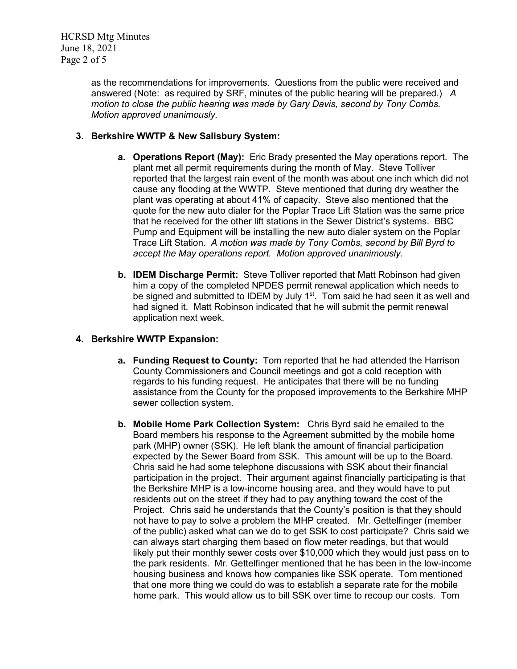HCRSD Mtg Minutes June 18, 2021 Page 2 of 5

> as the recommendations for improvements. Questions from the public were received and answered (Note: as required by SRF, minutes of the public hearing will be prepared.) *A motion to close the public hearing was made by Gary Davis, second by Tony Combs. Motion approved unanimously.*

### **3. Berkshire WWTP & New Salisbury System:**

- **a. Operations Report (May):** Eric Brady presented the May operations report. The plant met all permit requirements during the month of May. Steve Tolliver reported that the largest rain event of the month was about one inch which did not cause any flooding at the WWTP. Steve mentioned that during dry weather the plant was operating at about 41% of capacity. Steve also mentioned that the quote for the new auto dialer for the Poplar Trace Lift Station was the same price that he received for the other lift stations in the Sewer District's systems. BBC Pump and Equipment will be installing the new auto dialer system on the Poplar Trace Lift Station. *A motion was made by Tony Combs, second by Bill Byrd to accept the May operations report. Motion approved unanimously.*
- **b. IDEM Discharge Permit:** Steve Tolliver reported that Matt Robinson had given him a copy of the completed NPDES permit renewal application which needs to be signed and submitted to IDEM by July 1<sup>st</sup>. Tom said he had seen it as well and had signed it. Matt Robinson indicated that he will submit the permit renewal application next week.

#### **4. Berkshire WWTP Expansion:**

- **a. Funding Request to County:** Tom reported that he had attended the Harrison County Commissioners and Council meetings and got a cold reception with regards to his funding request. He anticipates that there will be no funding assistance from the County for the proposed improvements to the Berkshire MHP sewer collection system.
- **b. Mobile Home Park Collection System:** Chris Byrd said he emailed to the Board members his response to the Agreement submitted by the mobile home park (MHP) owner (SSK). He left blank the amount of financial participation expected by the Sewer Board from SSK. This amount will be up to the Board. Chris said he had some telephone discussions with SSK about their financial participation in the project. Their argument against financially participating is that the Berkshire MHP is a low-income housing area, and they would have to put residents out on the street if they had to pay anything toward the cost of the Project. Chris said he understands that the County's position is that they should not have to pay to solve a problem the MHP created. Mr. Gettelfinger (member of the public) asked what can we do to get SSK to cost participate? Chris said we can always start charging them based on flow meter readings, but that would likely put their monthly sewer costs over \$10,000 which they would just pass on to the park residents. Mr. Gettelfinger mentioned that he has been in the low-income housing business and knows how companies like SSK operate. Tom mentioned that one more thing we could do was to establish a separate rate for the mobile home park. This would allow us to bill SSK over time to recoup our costs. Tom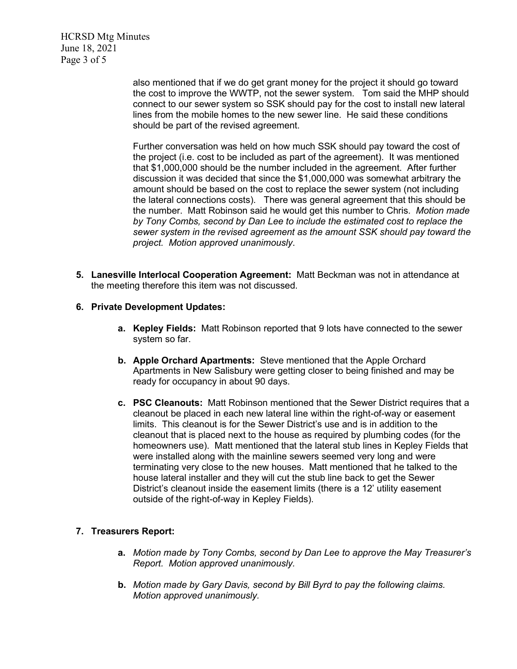HCRSD Mtg Minutes June 18, 2021 Page 3 of 5

> also mentioned that if we do get grant money for the project it should go toward the cost to improve the WWTP, not the sewer system. Tom said the MHP should connect to our sewer system so SSK should pay for the cost to install new lateral lines from the mobile homes to the new sewer line. He said these conditions should be part of the revised agreement.

> Further conversation was held on how much SSK should pay toward the cost of the project (i.e. cost to be included as part of the agreement). It was mentioned that \$1,000,000 should be the number included in the agreement. After further discussion it was decided that since the \$1,000,000 was somewhat arbitrary the amount should be based on the cost to replace the sewer system (not including the lateral connections costs). There was general agreement that this should be the number. Matt Robinson said he would get this number to Chris. *Motion made by Tony Combs, second by Dan Lee to include the estimated cost to replace the sewer system in the revised agreement as the amount SSK should pay toward the project. Motion approved unanimously*.

**5. Lanesville Interlocal Cooperation Agreement:** Matt Beckman was not in attendance at the meeting therefore this item was not discussed.

#### **6. Private Development Updates:**

- **a. Kepley Fields:** Matt Robinson reported that 9 lots have connected to the sewer system so far.
- **b. Apple Orchard Apartments:** Steve mentioned that the Apple Orchard Apartments in New Salisbury were getting closer to being finished and may be ready for occupancy in about 90 days.
- **c. PSC Cleanouts:** Matt Robinson mentioned that the Sewer District requires that a cleanout be placed in each new lateral line within the right-of-way or easement limits. This cleanout is for the Sewer District's use and is in addition to the cleanout that is placed next to the house as required by plumbing codes (for the homeowners use). Matt mentioned that the lateral stub lines in Kepley Fields that were installed along with the mainline sewers seemed very long and were terminating very close to the new houses. Matt mentioned that he talked to the house lateral installer and they will cut the stub line back to get the Sewer District's cleanout inside the easement limits (there is a 12' utility easement outside of the right-of-way in Kepley Fields).

## **7. Treasurers Report:**

- **a.** *Motion made by Tony Combs, second by Dan Lee to approve the May Treasurer's Report. Motion approved unanimously.*
- **b.** *Motion made by Gary Davis, second by Bill Byrd to pay the following claims. Motion approved unanimously.*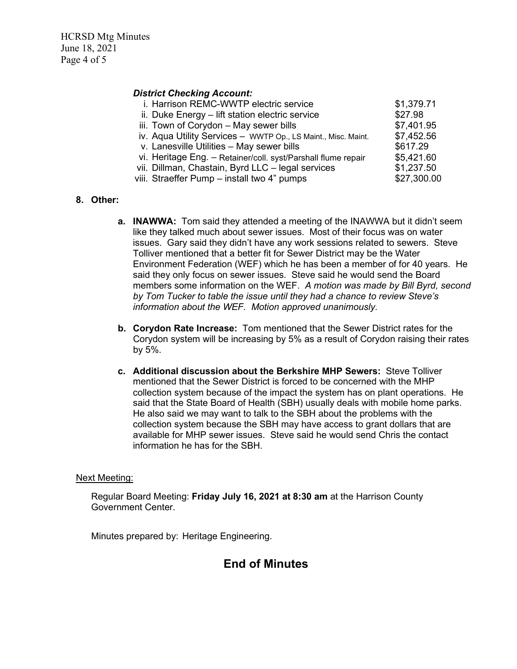HCRSD Mtg Minutes June 18, 2021 Page 4 of 5

#### *District Checking Account:*

| i. Harrison REMC-WWTP electric service                        | \$1,379.71  |
|---------------------------------------------------------------|-------------|
| ii. Duke Energy - lift station electric service               | \$27.98     |
| iii. Town of Corydon - May sewer bills                        | \$7,401.95  |
| iv. Aqua Utility Services - WWTP Op., LS Maint., Misc. Maint. | \$7,452.56  |
| v. Lanesville Utilities - May sewer bills                     | \$617.29    |
| vi. Heritage Eng. - Retainer/coll. syst/Parshall flume repair | \$5,421.60  |
| vii. Dillman, Chastain, Byrd LLC - legal services             | \$1,237.50  |
| viii. Straeffer Pump - install two 4" pumps                   | \$27,300.00 |

#### **8. Other:**

- **a. INAWWA:** Tom said they attended a meeting of the INAWWA but it didn't seem like they talked much about sewer issues. Most of their focus was on water issues. Gary said they didn't have any work sessions related to sewers. Steve Tolliver mentioned that a better fit for Sewer District may be the Water Environment Federation (WEF) which he has been a member of for 40 years. He said they only focus on sewer issues. Steve said he would send the Board members some information on the WEF. *A motion was made by Bill Byrd, second by Tom Tucker to table the issue until they had a chance to review Steve's information about the WEF. Motion approved unanimously.*
- **b. Corydon Rate Increase:** Tom mentioned that the Sewer District rates for the Corydon system will be increasing by 5% as a result of Corydon raising their rates by 5%.
- **c. Additional discussion about the Berkshire MHP Sewers:** Steve Tolliver mentioned that the Sewer District is forced to be concerned with the MHP collection system because of the impact the system has on plant operations. He said that the State Board of Health (SBH) usually deals with mobile home parks. He also said we may want to talk to the SBH about the problems with the collection system because the SBH may have access to grant dollars that are available for MHP sewer issues. Steve said he would send Chris the contact information he has for the SBH.

#### Next Meeting:

Regular Board Meeting: **Friday July 16, 2021 at 8:30 am** at the Harrison County Government Center.

Minutes prepared by: Heritage Engineering.

## **End of Minutes**